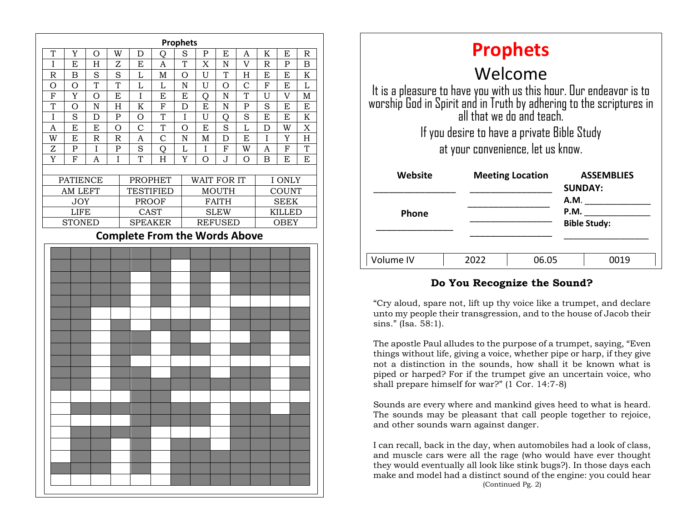| <b>Prophets</b>                      |                              |                    |                         |                                  |                               |                    |              |                               |                |                |                              |                         |  |  |
|--------------------------------------|------------------------------|--------------------|-------------------------|----------------------------------|-------------------------------|--------------------|--------------|-------------------------------|----------------|----------------|------------------------------|-------------------------|--|--|
| T                                    | Y                            | O                  | W                       | D                                | Q                             | $\rm S$            | P            | E                             | A              | K              | E                            | R                       |  |  |
| $\mathbf I$                          | E                            | H                  | Z                       | E                                | $\overline{A}$                | T                  | X            | $\mathbf N$                   | $\overline{V}$ | $\mathbb R$    | $\mathbf P$                  | B                       |  |  |
| $\mathbb R$                          | $\overline{B}$               | $\overline{S}$     | $\overline{S}$          | L                                | $\mathbf M$                   | $\overline{O}$     | U            | T                             | H              | $\overline{E}$ | E                            | $\overline{\mathrm{K}}$ |  |  |
| O                                    | $\mathcal{O}$                | T                  | T                       | L                                | L                             | $\rm N$            | U            | $\circ$                       | $\mathcal{C}$  | $\mathbf F$    | E                            | L                       |  |  |
| ${\bf F}$                            | Y                            | O                  | E                       | $\overline{I}$                   | E                             | E                  | Q            | ${\bf N}$                     | T              | U              | V                            | $\mathbf M$             |  |  |
| T                                    | $\overline{O}$               | $\overline{N}$     | H                       | K                                | $\overline{F}$                | D                  | E            | $\mathbf N$                   | $\mathbf P$    | S              | E                            | E                       |  |  |
| $\overline{I}$                       | $\rm S$                      | $\mathbf D$        | ${\bf P}$               | O                                | T                             | I                  | U            | Q                             | S              | E              | E                            | $\rm K$                 |  |  |
| A                                    | E                            | E                  | $\mathcal{O}$           | $\mathcal{C}$                    | T                             | $\overline{O}$     | E            | S                             | L              | D              | W                            | $\overline{\text{X}}$   |  |  |
| W                                    | E                            | $\mathsf{R}% _{T}$ | $\overline{\mathrm{R}}$ | A                                | $\overline{C}$                | $\overline{\rm N}$ | $\mathbf M$  | D                             | E              | $\overline{I}$ | Y                            | $\overline{\mathrm{H}}$ |  |  |
| Z                                    | ${\bf P}$                    | I                  | ${\bf P}$               | S                                | Q                             | L                  | I            | F                             | W              | A              | $\mathbf F$                  | T                       |  |  |
| Y                                    | ${\bf F}$                    | A                  | I                       | T                                | H                             | Y                  | O            | J                             | O              | B              | E                            | E                       |  |  |
| <b>PATIENCE</b>                      |                              |                    |                         |                                  |                               |                    |              |                               |                |                |                              |                         |  |  |
|                                      |                              |                    |                         | <b>PROPHET</b>                   |                               |                    | WAIT FOR IT  |                               |                |                | I ONLY                       |                         |  |  |
|                                      | AM LEFT                      |                    |                         | <b>TESTIFIED</b><br><b>PROOF</b> |                               |                    | <b>MOUTH</b> |                               |                |                | COUNT                        |                         |  |  |
|                                      | <b>JOY</b>                   |                    |                         |                                  |                               |                    | <b>FAITH</b> |                               |                |                | <b>SEEK</b><br><b>KILLED</b> |                         |  |  |
|                                      | <b>LIFE</b><br><b>STONED</b> |                    |                         |                                  | <b>CAST</b><br><b>SPEAKER</b> |                    |              | <b>SLEW</b><br><b>REFUSED</b> |                |                |                              | <b>OBEY</b>             |  |  |
| <b>Complete From the Words Above</b> |                              |                    |                         |                                  |                               |                    |              |                               |                |                |                              |                         |  |  |
|                                      |                              |                    |                         |                                  |                               |                    |              |                               |                |                |                              |                         |  |  |
|                                      |                              |                    |                         |                                  |                               |                    |              |                               |                |                |                              |                         |  |  |
|                                      |                              |                    |                         |                                  |                               |                    |              |                               |                |                |                              |                         |  |  |
|                                      |                              |                    |                         |                                  |                               |                    |              |                               |                |                |                              |                         |  |  |
|                                      |                              |                    |                         |                                  |                               |                    |              |                               |                |                |                              |                         |  |  |
|                                      |                              |                    |                         |                                  |                               |                    |              |                               |                |                |                              |                         |  |  |
|                                      |                              |                    |                         |                                  |                               |                    |              |                               |                |                |                              |                         |  |  |
|                                      |                              |                    |                         |                                  |                               |                    |              |                               |                |                |                              |                         |  |  |
|                                      |                              |                    |                         |                                  |                               |                    |              |                               |                |                |                              |                         |  |  |
|                                      |                              |                    |                         |                                  |                               |                    |              |                               |                |                |                              |                         |  |  |
|                                      |                              |                    |                         |                                  |                               |                    |              |                               |                |                |                              |                         |  |  |
|                                      |                              |                    |                         |                                  |                               |                    |              |                               |                |                |                              |                         |  |  |
|                                      |                              |                    |                         |                                  |                               |                    |              |                               |                |                |                              |                         |  |  |
|                                      |                              |                    |                         |                                  |                               |                    |              |                               |                |                |                              |                         |  |  |
|                                      |                              |                    |                         |                                  |                               |                    |              |                               |                |                |                              |                         |  |  |
|                                      |                              |                    |                         |                                  |                               |                    |              |                               |                |                |                              |                         |  |  |
|                                      |                              |                    |                         |                                  |                               |                    |              |                               |                |                |                              |                         |  |  |
|                                      |                              |                    |                         |                                  |                               |                    |              |                               |                |                |                              |                         |  |  |
|                                      |                              |                    |                         |                                  |                               |                    |              |                               |                |                |                              |                         |  |  |
|                                      |                              |                    |                         |                                  |                               |                    |              |                               |                |                |                              |                         |  |  |
|                                      |                              |                    |                         |                                  |                               |                    |              |                               |                |                |                              |                         |  |  |
|                                      |                              |                    |                         |                                  |                               |                    |              |                               |                |                |                              |                         |  |  |
|                                      |                              |                    |                         |                                  |                               |                    |              |                               |                |                |                              |                         |  |  |
|                                      |                              |                    |                         |                                  |                               |                    |              |                               |                |                |                              |                         |  |  |

| <b>Prophets</b>                                                                                                                                                        |      |                         |                                     |                             |  |  |  |  |  |
|------------------------------------------------------------------------------------------------------------------------------------------------------------------------|------|-------------------------|-------------------------------------|-----------------------------|--|--|--|--|--|
| Welcome                                                                                                                                                                |      |                         |                                     |                             |  |  |  |  |  |
| It is a pleasure to have you with us this hour. Our endeavor is to<br>worship God in Spirit and in Truth by adhering to the scriptures in<br>all that we do and teach. |      |                         |                                     |                             |  |  |  |  |  |
| If you desire to have a private Bible Study                                                                                                                            |      |                         |                                     |                             |  |  |  |  |  |
| at your convenience, let us know.                                                                                                                                      |      |                         |                                     |                             |  |  |  |  |  |
| Website                                                                                                                                                                |      | <b>Meeting Location</b> | <b>ASSEMBLIES</b><br><b>SUNDAY:</b> |                             |  |  |  |  |  |
|                                                                                                                                                                        |      |                         |                                     | A.M.                        |  |  |  |  |  |
| <b>Phone</b>                                                                                                                                                           |      |                         |                                     | P.M.<br><b>Bible Study:</b> |  |  |  |  |  |
|                                                                                                                                                                        |      |                         |                                     |                             |  |  |  |  |  |
| Volume IV                                                                                                                                                              | 2022 | 06.05                   |                                     | NN 14                       |  |  |  |  |  |

#### **Do You Recognize the Sound?**

"Cry aloud, spare not, lift up thy voice like a trumpet, and declare unto my people their transgression, and to the house of Jacob their sins." (Isa. 58:1).

The apostle Paul alludes to the purpose of a trumpet, saying, "Even things without life, giving a voice, whether pipe or harp, if they give not a distinction in the sounds, how shall it be known what is piped or harped? For if the trumpet give an uncertain voice, who shall prepare himself for war?" (1 Cor. 14:7-8)

Sounds are every where and mankind gives heed to what is heard. The sounds may be pleasant that call people together to rejoice, and other sounds warn against danger.

I can recall, back in the day, when automobiles had a look of class, and muscle cars were all the rage (who would have ever thought they would eventually all look like stink bugs?). In those days each make and model had a distinct sound of the engine: you could hear (Continued Pg. 2)